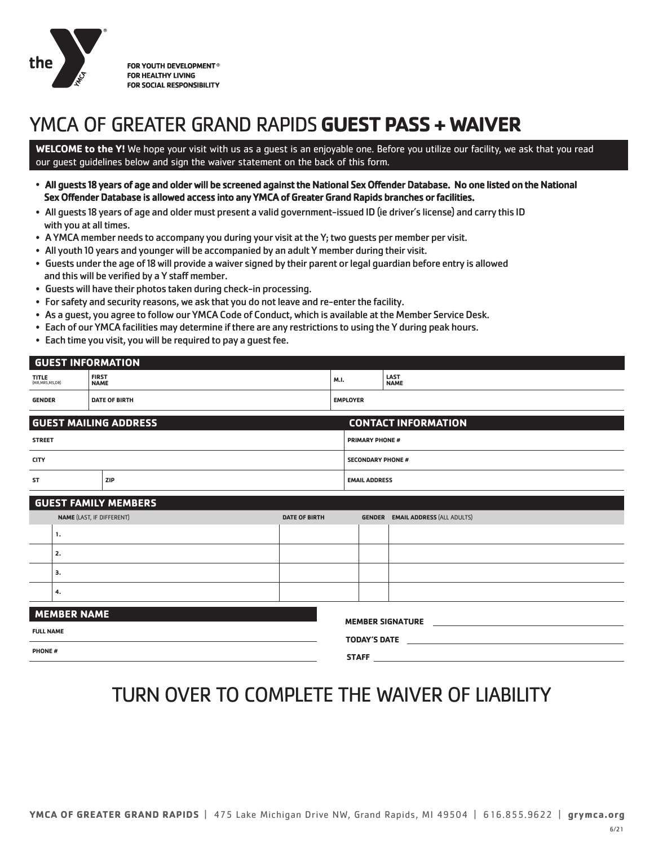

FOR YOUTH DEVELOPMENT<sup>®</sup> **FOR HEALTHY LIVING FOR SOCIAL RESPONSIBILITY** 

# YMCA OF GREATER GRAND RAPIDS **GUEST PASS + WAIVER**

**WELCOME to the Y!** We hope your visit with us as a guest is an enjoyable one. Before you utilize our facility, we ask that you read our guest guidelines below and sign the waiver statement on the back of this form.

- All guests 18 years of age and older will be screened against the National Sex Offender Database. No one listed on the National Sex Offender Database is allowed access into any YMCA of Greater Grand Rapids branches or facilities.
- All guests 18 years of age and older must present a valid government-issued ID (ie driver's license) and carry this ID with you at all times.
- A YMCA member needs to accompany you during your visit at the Y; two guests per member per visit.
- All youth 10 years and youngerwill be accompanied by an adult Y member during their visit.
- Guests under the age of 18 will provide awaiver signed by their parent or legal guardian before entry is allowed and this will be verified by a Y staff member.
- Guests will have their photos taken during check-in processing.
- For safety and security reasons, we ask that you do not leave and re-enter the facility.
- As a guest, you agree to follow our YMCA Code of Conduct, which is available atthe Member Service Desk.
- Each of our YMCA facilities may determine if there are any restrictions to using the Y during peak hours.
- Each time you visit, you will be required to pay a guest fee.

| <b>GENDER</b>              | <b>DATE OF BIRTH</b>        | <b>EMPLOYER</b> |                      |
|----------------------------|-----------------------------|-----------------|----------------------|
| TITLE<br>(MR, MRS, MS, DR) | <b>FIRST</b><br><b>NAME</b> | M.I.            | <b>LAST<br/>NAME</b> |
| <b>GUEST INFORMATION</b>   |                             |                 |                      |

| GUEST MAILING ADDRESS ; |            | <b>CONTACT INFORMATION</b> |  |
|-------------------------|------------|----------------------------|--|
| <b>STREET</b>           |            | <b>PRIMARY PHONE #</b>     |  |
| <b>CITY</b>             |            | <b>SECONDARY PHONE #</b>   |  |
| ST                      | <b>ZIP</b> | <b>EMAIL ADDRESS</b>       |  |

| <b>GUEST FAMILY MEMBERS</b>             |               |                      |               |                                   |  |
|-----------------------------------------|---------------|----------------------|---------------|-----------------------------------|--|
| NAME (LAST, IF DIFFERENT)               |               | <b>DATE OF BIRTH</b> | <b>GENDER</b> | <b>EMAIL ADDRESS (ALL ADULTS)</b> |  |
|                                         | 1.            |                      |               |                                   |  |
|                                         | 2.            |                      |               |                                   |  |
|                                         | 3.            |                      |               |                                   |  |
|                                         | 4.            |                      |               |                                   |  |
| MEMBER NAME<br><b>MEMBER SIGNATURE</b>  |               |                      |               |                                   |  |
| <b>FULL NAME</b><br><b>TODAY'S DATE</b> |               |                      |               |                                   |  |
|                                         | <b>PHONE#</b> |                      |               |                                   |  |

**STAFF**

| TURN OVER TO COMPLETE THE WAIVER OF LIABILITY |  |  |  |
|-----------------------------------------------|--|--|--|